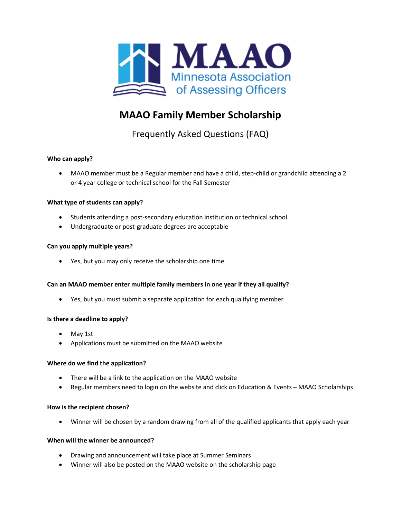

# **MAAO Family Member Scholarship**

Frequently Asked Questions (FAQ)

# **Who can apply?**

• MAAO member must be a Regular member and have a child, step-child or grandchild attending a 2 or 4 year college or technical school for the Fall Semester

# **What type of students can apply?**

- Students attending a post-secondary education institution or technical school
- Undergraduate or post-graduate degrees are acceptable

## **Can you apply multiple years?**

• Yes, but you may only receive the scholarship one time

# **Can an MAAO member enter multiple family members in one year if they all qualify?**

• Yes, but you must submit a separate application for each qualifying member

## **Is there a deadline to apply?**

- May 1st
- Applications must be submitted on the MAAO website

## **Where do we find the application?**

- There will be a link to the application on the MAAO website
- Regular members need to login on the website and click on Education & Events MAAO Scholarships

## **How is the recipient chosen?**

• Winner will be chosen by a random drawing from all of the qualified applicants that apply each year

## **When will the winner be announced?**

- Drawing and announcement will take place at Summer Seminars
- Winner will also be posted on the MAAO website on the scholarship page